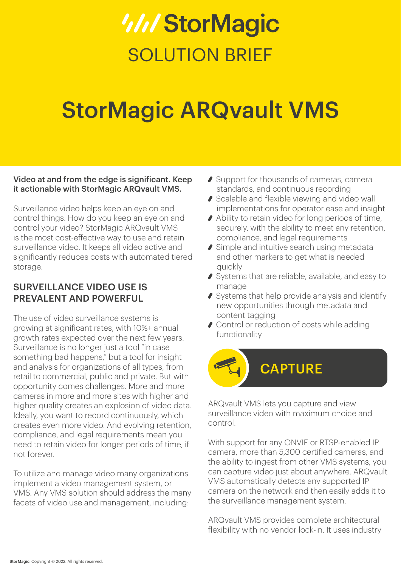## *WIStorMagic* SOLUTION BRIFF

## StorMagic ARQvault VMS

#### Video at and from the edge is significant. Keep it actionable with StorMagic ARQvault VMS.

Surveillance video helps keep an eye on and control things. How do you keep an eye on and control your video? StorMagic ARQvault VMS is the most cost-effective way to use and retain surveillance video. It keeps all video active and significantly reduces costs with automated tiered storage.

#### SURVEILLANCE VIDEO USE IS PREVALENT AND POWERFUL

The use of video surveillance systems is growing at significant rates, with 10%+ annual growth rates expected over the next few years. Surveillance is no longer just a tool "in case something bad happens," but a tool for insight and analysis for organizations of all types, from retail to commercial, public and private. But with opportunity comes challenges. More and more cameras in more and more sites with higher and higher quality creates an explosion of video data. Ideally, you want to record continuously, which creates even more video. And evolving retention, compliance, and legal requirements mean you need to retain video for longer periods of time, if not forever.

To utilize and manage video many organizations implement a video management system, or VMS. Any VMS solution should address the many facets of video use and management, including:

- ◆ Support for thousands of cameras, camera standards, and continuous recording
- Scalable and flexible viewing and video wall implementations for operator ease and insight
- Ability to retain video for long periods of time, securely, with the ability to meet any retention, compliance, and legal requirements
- ◆ Simple and intuitive search using metadata and other markers to get what is needed quickly
- Systems that are reliable, available, and easy to manage
- Systems that help provide analysis and identify new opportunities through metadata and content tagging
- Control or reduction of costs while adding functionality



ARQvault VMS lets you capture and view surveillance video with maximum choice and control.

With support for any ONVIF or RTSP-enabled IP camera, more than 5,300 certified cameras, and the ability to ingest from other VMS systems, you can capture video just about anywhere. ARQvault VMS automatically detects any supported IP camera on the network and then easily adds it to the surveillance management system.

ARQvault VMS provides complete architectural flexibility with no vendor lock-in. It uses industry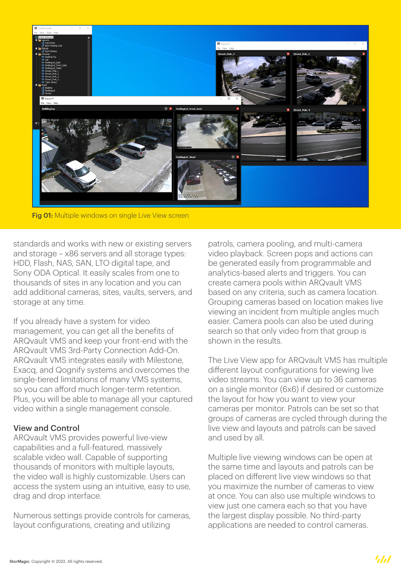

Fig 01: Multiple windows on single Live View screen

standards and works with new or existing servers and storage – x86 servers and all storage types: HDD, Flash, NAS, SAN, LTO digital tape, and Sony ODA Optical. It easily scales from one to thousands of sites in any location and you can add additional cameras, sites, vaults, servers, and storage at any time.

If you already have a system for video management, you can get all the benefits of ARQvault VMS and keep your front-end with the ARQvault VMS 3rd-Party Connection Add-On. ARQvault VMS integrates easily with Milestone, Exacq, and Qognify systems and overcomes the single-tiered limitations of many VMS systems, so you can afford much longer-term retention. Plus, you will be able to manage all your captured video within a single management console.

#### View and Control

ARQvault VMS provides powerful live-view capabilities and a full-featured, massively scalable video wall. Capable of supporting thousands of monitors with multiple layouts, the video wall is highly customizable. Users can access the system using an intuitive, easy to use, drag and drop interface.

Numerous settings provide controls for cameras, layout configurations, creating and utilizing

patrols, camera pooling, and multi-camera video playback. Screen pops and actions can be generated easily from programmable and analytics-based alerts and triggers. You can create camera pools within ARQvault VMS based on any criteria, such as camera location. Grouping cameras based on location makes live viewing an incident from multiple angles much easier. Camera pools can also be used during search so that only video from that group is shown in the results.

The Live View app for ARQvault VMS has multiple different layout configurations for viewing live video streams. You can view up to 36 cameras on a single monitor (6x6) if desired or customize the layout for how you want to view your cameras per monitor. Patrols can be set so that groups of cameras are cycled through during the live view and layouts and patrols can be saved and used by all.

Multiple live viewing windows can be open at the same time and layouts and patrols can be placed on different live view windows so that you maximize the number of cameras to view at once. You can also use multiple windows to view just one camera each so that you have the largest display possible. No third-party applications are needed to control cameras.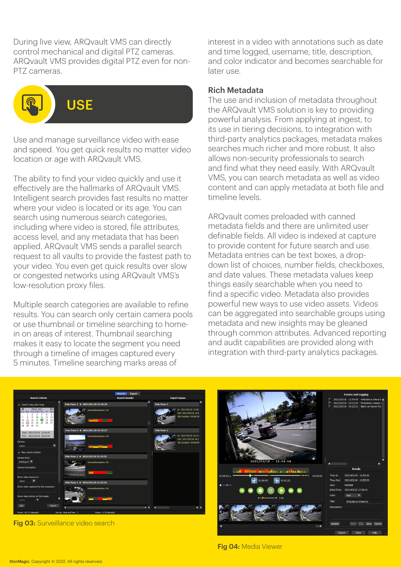During live view, ARQvault VMS can directly control mechanical and digital PTZ cameras. ARQvault VMS provides digital PTZ even for non-PTZ cameras.



Use and manage surveillance video with ease and speed. You get quick results no matter video location or age with ARQvault VMS.

The ability to find your video quickly and use it effectively are the hallmarks of ARQvault VMS. Intelligent search provides fast results no matter where your video is located or its age. You can search using numerous search categories, including where video is stored, file attributes, access level, and any metadata that has been applied. ARQvault VMS sends a parallel search request to all vaults to provide the fastest path to your video. You even get quick results over slow or congested networks using ARQvault VMS's low-resolution proxy files.

Multiple search categories are available to refine results. You can search only certain camera pools or use thumbnail or timeline searching to homein on areas of interest. Thumbnail searching makes it easy to locate the segment you need through a timeline of images captured every 5 minutes. Timeline searching marks areas of

interest in a video with annotations such as date and time logged, username, title, description, and color indicator and becomes searchable for later use.

#### Rich Metadata

The use and inclusion of metadata throughout the ARQvault VMS solution is key to providing powerful analysis. From applying at ingest, to its use in tiering decisions, to integration with third-party analytics packages, metadata makes searches much richer and more robust. It also allows non-security professionals to search and find what they need easily. With ARQvault VMS, you can search metadata as well as video content and can apply metadata at both file and timeline levels.

ARQvault comes preloaded with canned metadata fields and there are unlimited user definable fields. All video is indexed at capture to provide content for future search and use. Metadata entries can be text boxes, a dropdown list of choices, number fields, checkboxes, and date values. These metadata values keep things easily searchable when you need to find a specific video. Metadata also provides powerful new ways to use video assets. Videos can be aggregated into searchable groups using metadata and new insights may be gleaned through common attributes. Advanced reporting and audit capabilities are provided along with integration with third-party analytics packages.



Fig 03: Surveillance video search



Fig 04: Media Viewer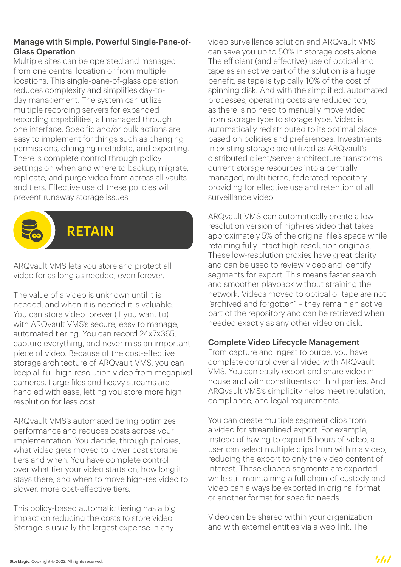#### Manage with Simple, Powerful Single-Pane-of-Glass Operation

Multiple sites can be operated and managed from one central location or from multiple locations. This single-pane-of-glass operation reduces complexity and simplifies day-today management. The system can utilize multiple recording servers for expanded recording capabilities, all managed through one interface. Specific and/or bulk actions are easy to implement for things such as changing permissions, changing metadata, and exporting. There is complete control through policy settings on when and where to backup, migrate, replicate, and purge video from across all vaults and tiers. Effective use of these policies will prevent runaway storage issues.



ARQvault VMS lets you store and protect all video for as long as needed, even forever.

The value of a video is unknown until it is needed, and when it is needed it is valuable. You can store video forever (if you want to) with ARQvault VMS's secure, easy to manage, automated tiering. You can record 24x7x365, capture everything, and never miss an important piece of video. Because of the cost-effective storage architecture of ARQvault VMS, you can keep all full high-resolution video from megapixel cameras. Large files and heavy streams are handled with ease, letting you store more high resolution for less cost.

ARQvault VMS's automated tiering optimizes performance and reduces costs across your implementation. You decide, through policies, what video gets moved to lower cost storage tiers and when. You have complete control over what tier your video starts on, how long it stays there, and when to move high-res video to slower, more cost-effective tiers.

This policy-based automatic tiering has a big impact on reducing the costs to store video. Storage is usually the largest expense in any

video surveillance solution and ARQvault VMS can save you up to 50% in storage costs alone. The efficient (and effective) use of optical and tape as an active part of the solution is a huge benefit, as tape is typically 10% of the cost of spinning disk. And with the simplified, automated processes, operating costs are reduced too, as there is no need to manually move video from storage type to storage type. Video is automatically redistributed to its optimal place based on policies and preferences. Investments in existing storage are utilized as ARQvault's distributed client/server architecture transforms current storage resources into a centrally managed, multi-tiered, federated repository providing for effective use and retention of all surveillance video.

ARQvault VMS can automatically create a lowresolution version of high-res video that takes approximately 5% of the original file's space while retaining fully intact high-resolution originals. These low-resolution proxies have great clarity and can be used to review video and identify segments for export. This means faster search and smoother playback without straining the network. Videos moved to optical or tape are not "archived and forgotten" – they remain an active part of the repository and can be retrieved when needed exactly as any other video on disk.

#### Complete Video Lifecycle Management

From capture and ingest to purge, you have complete control over all video with ARQvault VMS. You can easily export and share video inhouse and with constituents or third parties. And ARQvault VMS's simplicity helps meet regulation, compliance, and legal requirements.

You can create multiple segment clips from a video for streamlined export. For example, instead of having to export 5 hours of video, a user can select multiple clips from within a video, reducing the export to only the video content of interest. These clipped segments are exported while still maintaining a full chain-of-custody and video can always be exported in original format or another format for specific needs.

Video can be shared within your organization and with external entities via a web link. The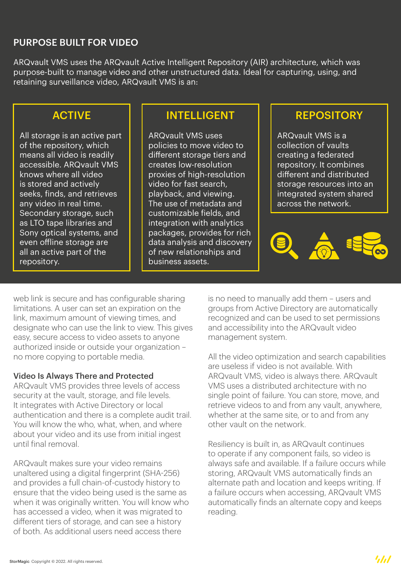#### PURPOSE BUILT FOR VIDEO

ARQvault VMS uses the ARQvault Active Intelligent Repository (AIR) architecture, which was purpose-built to manage video and other unstructured data. Ideal for capturing, using, and retaining surveillance video, ARQvault VMS is an:

#### ACTIVE

All storage is an active part of the repository, which means all video is readily accessible. ARQvault VMS knows where all video is stored and actively seeks, finds, and retrieves any video in real time. Secondary storage, such as LTO tape libraries and Sony optical systems, and even offline storage are all an active part of the repository.

#### INTELLIGENT

ARQvault VMS uses policies to move video to different storage tiers and creates low-resolution proxies of high-resolution video for fast search, playback, and viewing. The use of metadata and customizable fields, and integration with analytics packages, provides for rich data analysis and discovery of new relationships and business assets.

### **REPOSITORY**

ARQvault VMS is a collection of vaults creating a federated repository. It combines different and distributed storage resources into an integrated system shared across the network.



web link is secure and has configurable sharing limitations. A user can set an expiration on the link, maximum amount of viewing times, and designate who can use the link to view. This gives easy, secure access to video assets to anyone authorized inside or outside your organization – no more copying to portable media.

#### Video Is Always There and Protected

ARQvault VMS provides three levels of access security at the vault, storage, and file levels. It integrates with Active Directory or local authentication and there is a complete audit trail. You will know the who, what, when, and where about your video and its use from initial ingest until final removal.

ARQvault makes sure your video remains unaltered using a digital fingerprint (SHA-256) and provides a full chain-of-custody history to ensure that the video being used is the same as when it was originally written. You will know who has accessed a video, when it was migrated to different tiers of storage, and can see a history of both. As additional users need access there

is no need to manually add them – users and groups from Active Directory are automatically recognized and can be used to set permissions and accessibility into the ARQvault video management system.

All the video optimization and search capabilities are useless if video is not available. With ARQvault VMS, video is always there. ARQvault VMS uses a distributed architecture with no single point of failure. You can store, move, and retrieve videos to and from any vault, anywhere, whether at the same site, or to and from any other vault on the network.

Resiliency is built in, as ARQvault continues to operate if any component fails, so video is always safe and available. If a failure occurs while storing, ARQvault VMS automatically finds an alternate path and location and keeps writing. If a failure occurs when accessing, ARQvault VMS automatically finds an alternate copy and keeps reading.